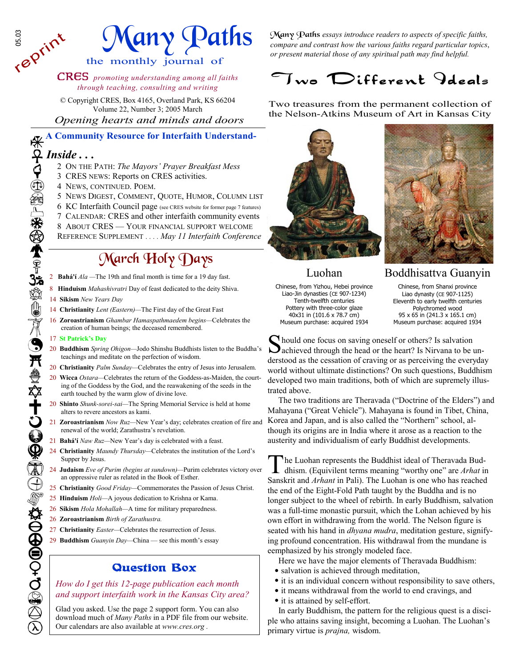# any Paths

the monthly journal of

CRES *promoting understanding among all faiths through teaching, consulting and writing*

© Copyright CRES, Box 4165, Overland Park, KS 66204 Volume 22, Number 3; 2005 March  *Opening hearts and minds and doors* 

**A Community Resource for Interfaith Understand-**

### *Inside . . .*

**SSS**<br>reprint

- 2 ON THE PATH: *The Mayors' Prayer Breakfast Mess*
- 3 CRES NEWS: Reports on CRES activities.
- 4 NEWS, CONTINUED. POEM.
- 5 NEWS DIGEST, COMMENT, QUOTE, HUMOR, COLUMN LIST
- 6 KC Interfaith Council page (see CRES website for former page 7 features)
- 7 CALENDAR: CRES and other interfaith community events
- 8 ABOUT CRES YOUR FINANCIAL SUPPORT WELCOME
- REFERENCE SUPPLEMENT *. . . . May 11 Interfaith Conference*

### March Holy Days

- 2 **Bahá'í** *Ala —*The 19th and final month is time for a 19 day fast.
- 8 **Hinduism** *Mahashivratri* Day of feast dedicated to the deity Shiva.
- 14 **Sikism** *New Years Day*
- 14 **Christianity** *Lent (Eastern)—*The First day of the Great Fast
- 16 **Zoroastrianism** *Ghambar Hamaspathmaedem begins—*Celebrates the creation of human beings; the deceased remembered.

#### 17 **St Patrick's Day**

- 20 **Buddhism** *Spring Ohigon—*Jodo Shinshu Buddhists listen to the Buddha's teachings and meditate on the perfection of wisdom.
- 20 **Christianity** *Palm Sunday—*Celebrates the entry of Jesus into Jerusalem.
- 20 **Wicca** *Ostara—*Celebrates the return of the Goddess-as-Maiden, the courting of the Goddess by the God, and the reawakening of the seeds in the earth touched by the warm glow of divine love.
- 20 **Shinto** *Shunk-sorei-sai—*The Spring Memorial Service is held at home alters to revere ancestors as kami.
- 21 **Zoroastrianism** *Now Ruz—*New Year's day; celebrates creation of fire and renewal of the world; Zarathustra's revelation.
- 21 **Bahá'í** *Naw Ruz—*New Year's day is celebrated with a feast.
- 24 **Christianity** *Maundy Thursday—*Celebrates the institution of the Lord's Supper by Jesus.
- 24 **Judaism** *Eve of Purim (begins at sundown)—*Purim celebrates victory over an oppressive ruler as related in the Book of Esther.
- 25 **Christianity** *Good Friday—*Commemorates the Passion of Jesus Christ.
- 25 **Hinduism** *Holi—*A joyous dedication to Krishna or Kama.
- 26 **Sikism** *Hola Mohallah—*A time for military preparedness.
- 26 **Zoroastrianism** *Birth of Zarathustra.*
- 27 **Christianity** *Easter—*Celebrates the resurrection of Jesus.
- 29 **Buddhism** *Guanyin Day—*China see this month's essay

## Question Box

*How do I get this 12-page publication each month*  a*nd support interfaith work in the Kansas City area?*<br>Glad you asked. Use the page 2 support form. You can also

download much of *Many Paths* in a PDF file from our website. Our calendars are also available at *www.cres.org .* 

Many Paths *essays introduce readers to aspects of specific faiths, compare and contrast how the various faiths regard particular topics*, *or present material those of any spiritual path may find helpful.*

### Two Different Ideals

Two treasures from the permanent collection of the Nelson-Atkins Museum of Art in Kansas City





Luohan

Chinese, from Yizhou, Hebei province Liao-Jin dynasties (CE 907-1234) Tenth-twelfth centuries Pottery with three-color glaze 40x31 in (101.6 x 78.7 cm) Museum purchase: acquired 1934

#### Boddhisattva Guanyin

Chinese, from Shanxi province Liao dynasty (CE 907-1125) Eleventh to early twelfth centuries Polychromed wood 95 x 65 in (241.3 x 165.1 cm) Museum purchase: acquired 1934

S hould one focus on saving oneself or others? Is salvation achieved through the head or the heart? Is Nirvana to be understood as the cessation of craving or as perceiving the everyday world without ultimate distinctions? On such questions, Buddhism developed two main traditions, both of which are supremely illustrated above.

 The two traditions are Theravada ("Doctrine of the Elders") and Mahayana ("Great Vehicle"). Mahayana is found in Tibet, China, Korea and Japan, and is also called the "Northern" school, although its origins are in India where it arose as a reaction to the austerity and individualism of early Buddhist developments.

In Luohan represents the Buddhist ideal of Theravada Buddhism. (Equivilent terms meaning "worthy one" are *Arhat* in Sanskrit and *Arhant* in Pali). The Luohan is one who has reached the end of the Eight-Fold Path taught by the Buddha and is no longer subject to the wheel of rebirth. In early Buddhism, salvation was a full-time monastic pursuit, which the Lohan achieved by his own effort in withdrawing from the world. The Nelson figure is seated with his hand in *dhyana mudra*, meditation gesture, signifying profound concentration. His withdrawal from the mundane is eemphasized by his strongly modeled face.

Here we have the major elements of Theravada Buddhism:

- salvation is achieved through meditation,
- it is an individual concern without responsibility to save others,
- it means withdrawal from the world to end cravings, and
- it is attained by self-effort.

 In early Buddhism, the pattern for the religious quest is a disciple who attains saving insight, becoming a Luohan. The Luohan's primary virtue is *prajna,* wisdom.